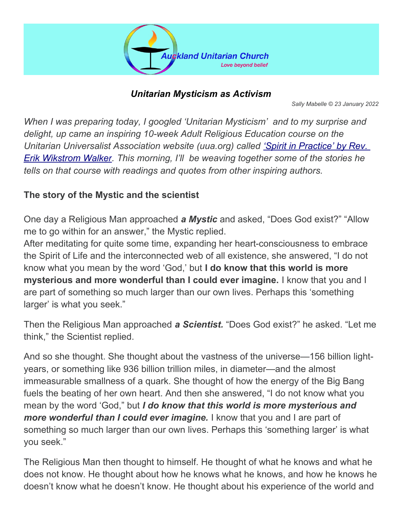

#### *Unitarian Mysticism as Activism*

*Sally Mabelle © 23 January 2022*

*When I was preparing today, I googled 'Unitarian Mysticism' and to my surprise and delight, up came an inspiring 10-week Adult Religious Education course on the Unitarian Universalist Association website (uua.org) called ['Spirit in Practice' by Rev.](https://www.uua.org/re/tapestry/adults/practice)  [Erik Wikstrom Walker.](https://www.uua.org/re/tapestry/adults/practice) This morning, I'll be weaving together some of the stories he tells on that course with readings and quotes from other inspiring authors.*

### **The story of the Mystic and the scientist**

One day a Religious Man approached *a Mystic* and asked, "Does God exist?" "Allow me to go within for an answer," the Mystic replied.

After meditating for quite some time, expanding her heart-consciousness to embrace the Spirit of Life and the interconnected web of all existence, she answered, "I do not know what you mean by the word 'God,' but **I do know that this world is more mysterious and more wonderful than I could ever imagine.** I know that you and I are part of something so much larger than our own lives. Perhaps this 'something larger' is what you seek."

Then the Religious Man approached *a Scientist.* "Does God exist?" he asked. "Let me think," the Scientist replied.

And so she thought. She thought about the vastness of the universe—156 billion lightyears, or something like 936 billion trillion miles, in diameter—and the almost immeasurable smallness of a quark. She thought of how the energy of the Big Bang fuels the beating of her own heart. And then she answered, "I do not know what you mean by the word 'God," but *I do know that this world is more mysterious and more wonderful than I could ever imagine.* I know that you and I are part of something so much larger than our own lives. Perhaps this 'something larger' is what you seek."

The Religious Man then thought to himself. He thought of what he knows and what he does not know. He thought about how he knows what he knows, and how he knows he doesn't know what he doesn't know. He thought about his experience of the world and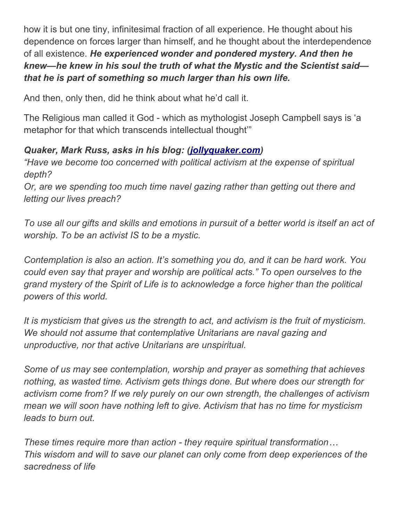how it is but one tiny, infinitesimal fraction of all experience. He thought about his dependence on forces larger than himself, and he thought about the interdependence of all existence. *He experienced wonder and pondered mystery. And then he knew—he knew in his soul the truth of what the Mystic and the Scientist said that he is part of something so much larger than his own life.*

And then, only then, did he think about what he'd call it.

The Religious man called it God - which as mythologist Joseph Campbell says is 'a metaphor for that which transcends intellectual thought'"

# *Quaker, Mark Russ, asks in his blog: ([jollyquaker.com\)](https://jollyquaker.com/)*

*"Have we become too concerned with political activism at the expense of spiritual depth?*

*Or, are we spending too much time navel gazing rather than getting out there and letting our lives preach?*

*To use all our gifts and skills and emotions in pursuit of a better world is itself an act of worship. To be an activist IS to be a mystic.*

*Contemplation is also an action. It's something you do, and it can be hard work. You could even say that prayer and worship are political acts." To open ourselves to the grand mystery of the Spirit of Life is to acknowledge a force higher than the political powers of this world.* 

*It is mysticism that gives us the strength to act, and activism is the fruit of mysticism. We should not assume that contemplative Unitarians are naval gazing and unproductive, nor that active Unitarians are unspiritual.*

*Some of us may see contemplation, worship and prayer as something that achieves nothing, as wasted time. Activism gets things done. But where does our strength for activism come from? If we rely purely on our own strength, the challenges of activism mean we will soon have nothing left to give. Activism that has no time for mysticism leads to burn out.*

*These times require more than action - they require spiritual transformation… This wisdom and will to save our planet can only come from deep experiences of the sacredness of life*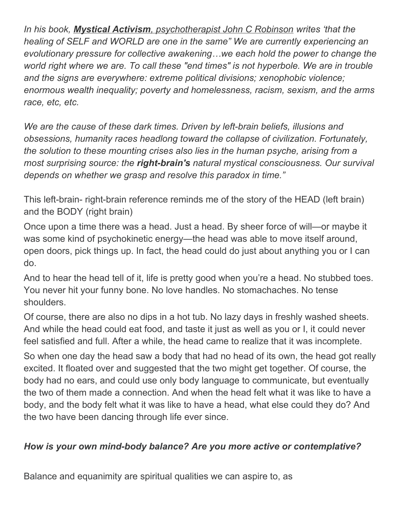*In his book, Mystical Activism [, psychotherapist John C Robinson](https://www.johnrobinson.org/index.htm) writes 'that the healing of SELF and WORLD are one in the same" We are currently experiencing an evolutionary pressure for collective awakening…we each hold the power to change the world right where we are. To call these "end times" is not hyperbole. We are in trouble and the signs are everywhere: extreme political divisions; xenophobic violence; enormous wealth inequality; poverty and homelessness, racism, sexism, and the arms race, etc, etc.*

*We are the cause of these dark times. Driven by left-brain beliefs, illusions and obsessions, humanity races headlong toward the collapse of civilization. Fortunately, the solution to these mounting crises also lies in the human psyche, arising from a most surprising source: the right-brain's natural mystical consciousness. Our survival depends on whether we grasp and resolve this paradox in time."*

This left-brain- right-brain reference reminds me of the story of the HEAD (left brain) and the BODY (right brain)

Once upon a time there was a head. Just a head. By sheer force of will—or maybe it was some kind of psychokinetic energy—the head was able to move itself around, open doors, pick things up. In fact, the head could do just about anything you or I can do.

And to hear the head tell of it, life is pretty good when you're a head. No stubbed toes. You never hit your funny bone. No love handles. No stomachaches. No tense shoulders.

Of course, there are also no dips in a hot tub. No lazy days in freshly washed sheets. And while the head could eat food, and taste it just as well as you or I, it could never feel satisfied and full. After a while, the head came to realize that it was incomplete.

So when one day the head saw a body that had no head of its own, the head got really excited. It floated over and suggested that the two might get together. Of course, the body had no ears, and could use only body language to communicate, but eventually the two of them made a connection. And when the head felt what it was like to have a body, and the body felt what it was like to have a head, what else could they do? And the two have been dancing through life ever since.

# *How is your own mind-body balance? Are you more active or contemplative?*

Balance and equanimity are spiritual qualities we can aspire to, as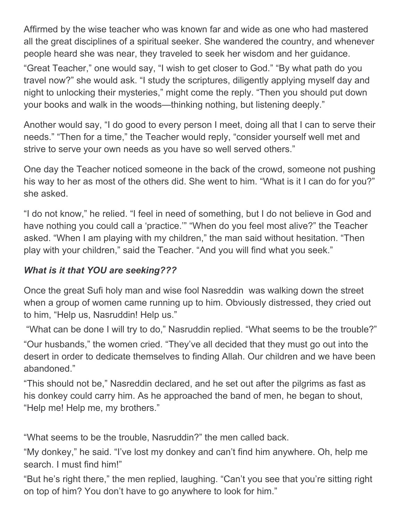Affirmed by the wise teacher who was known far and wide as one who had mastered all the great disciplines of a spiritual seeker. She wandered the country, and whenever people heard she was near, they traveled to seek her wisdom and her guidance.

"Great Teacher," one would say, "I wish to get closer to God." "By what path do you travel now?" she would ask. "I study the scriptures, diligently applying myself day and night to unlocking their mysteries," might come the reply. "Then you should put down your books and walk in the woods—thinking nothing, but listening deeply."

Another would say, "I do good to every person I meet, doing all that I can to serve their needs." "Then for a time," the Teacher would reply, "consider yourself well met and strive to serve your own needs as you have so well served others."

One day the Teacher noticed someone in the back of the crowd, someone not pushing his way to her as most of the others did. She went to him. "What is it I can do for you?" she asked.

"I do not know," he relied. "I feel in need of something, but I do not believe in God and have nothing you could call a 'practice.'" "When do you feel most alive?" the Teacher asked. "When I am playing with my children," the man said without hesitation. "Then play with your children," said the Teacher. "And you will find what you seek."

#### *What is it that YOU are seeking???*

Once the great Sufi holy man and wise fool Nasreddin was walking down the street when a group of women came running up to him. Obviously distressed, they cried out to him, "Help us, Nasruddin! Help us."

"What can be done I will try to do," Nasruddin replied. "What seems to be the trouble?"

"Our husbands," the women cried. "They've all decided that they must go out into the desert in order to dedicate themselves to finding Allah. Our children and we have been abandoned."

"This should not be," Nasreddin declared, and he set out after the pilgrims as fast as his donkey could carry him. As he approached the band of men, he began to shout, "Help me! Help me, my brothers."

"What seems to be the trouble, Nasruddin?" the men called back.

"My donkey," he said. "I've lost my donkey and can't find him anywhere. Oh, help me search. I must find him!"

"But he's right there," the men replied, laughing. "Can't you see that you're sitting right on top of him? You don't have to go anywhere to look for him."